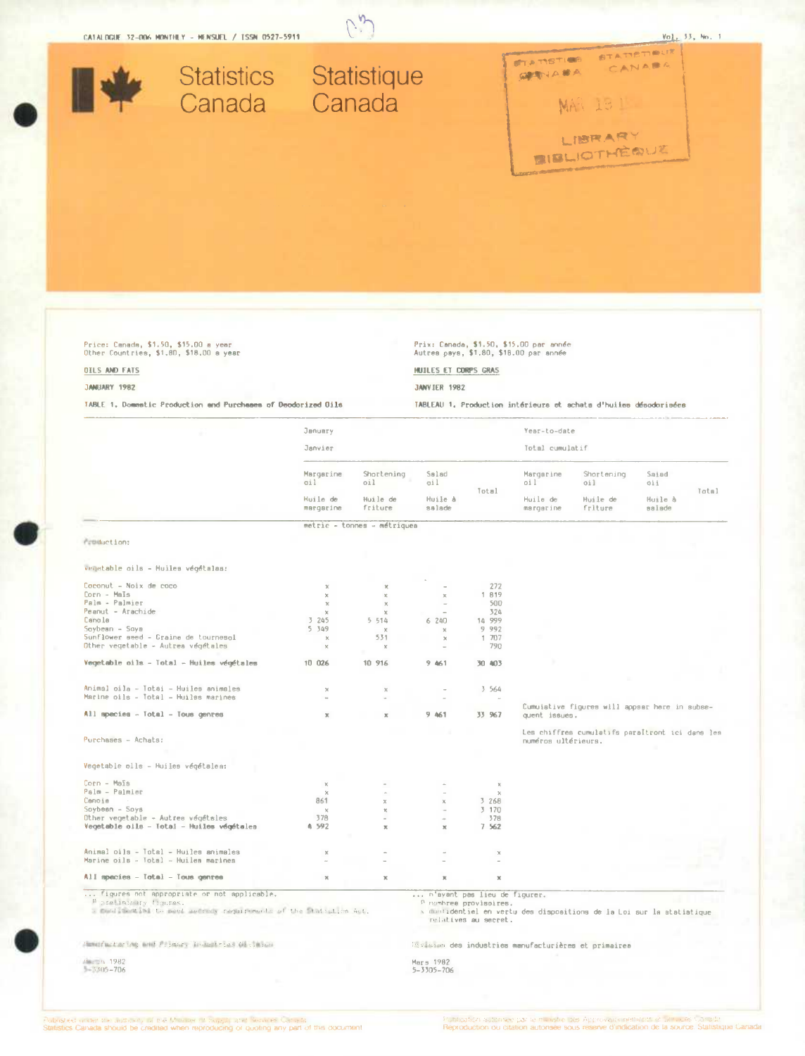

# Price: Canada, \$1.50, \$15.00 a year<br>Other Countries, \$1.80, \$18.00 a year

## **DILS AND FATS**

#### JANUARY 1982

TABLE 1. Domestic Production and Purchases of Deodorized Oils

Prix: Canada, \$1.50, \$15.00 par année<br>Autrea paya, \$1.80, \$18.00 par année

### HUILES ET CORPS GRAS

**JANVIER 1982** 

TABLEAU 1. Production intérieurs et achata d'huiies désodorisées

|                                                                                                                                           | January<br>Janvier                         |                                          |                                                      | Year-to-date<br>Total cumulatif                           |                                                 |                                                                       |                                   |       |
|-------------------------------------------------------------------------------------------------------------------------------------------|--------------------------------------------|------------------------------------------|------------------------------------------------------|-----------------------------------------------------------|-------------------------------------------------|-----------------------------------------------------------------------|-----------------------------------|-------|
|                                                                                                                                           | Margarine<br>oil.<br>Huile de<br>margarine | Shortening<br>oil<br>Huile de<br>friture | Salad<br>ail.<br>Huile à<br>salade                   | Total                                                     | Margarine<br>oil<br>Huile de<br>margarine       | Shortening<br>oil<br>Huile de<br>friture                              | Saiad<br>oii<br>Huile à<br>ebelse | Total |
|                                                                                                                                           |                                            |                                          |                                                      |                                                           |                                                 |                                                                       |                                   |       |
|                                                                                                                                           |                                            | metric - tonnes - métriques              |                                                      |                                                           |                                                 |                                                                       |                                   |       |
| Production:                                                                                                                               |                                            |                                          |                                                      |                                                           |                                                 |                                                                       |                                   |       |
|                                                                                                                                           |                                            |                                          |                                                      |                                                           |                                                 |                                                                       |                                   |       |
| vegetable oils - Huiles végétalas:                                                                                                        |                                            |                                          |                                                      |                                                           |                                                 |                                                                       |                                   |       |
| Coconut - Noix de coco                                                                                                                    | $\chi$                                     | $\mathbb X$                              | ÷                                                    | 272                                                       |                                                 |                                                                       |                                   |       |
| Corn - Maïs                                                                                                                               | $\chi$                                     | $\mathbb{X}$                             | $\mathbb{X}$                                         | 1 819                                                     |                                                 |                                                                       |                                   |       |
| Palm - Palmier                                                                                                                            | $\chi$                                     | $\mathcal{H}$                            | $\sim$                                               | 500                                                       |                                                 |                                                                       |                                   |       |
| Peanut - Arachide                                                                                                                         | $\mathbf{x}$                               | $\infty$                                 |                                                      | 324                                                       |                                                 |                                                                       |                                   |       |
| Canola                                                                                                                                    | 3 245                                      | 5.514                                    | 6240                                                 | 14 999                                                    |                                                 |                                                                       |                                   |       |
| Soybean - Soya                                                                                                                            | 5 349                                      | $\mathbf{x}$                             | $\chi$                                               | 9 9 9 2                                                   |                                                 |                                                                       |                                   |       |
| Sunflower seed - Graine de tournesol                                                                                                      | ×                                          | 531                                      | $\mathbbm{X}$                                        | 1 707                                                     |                                                 |                                                                       |                                   |       |
| Other vegetable - Autrea végétales                                                                                                        | $\times$                                   | $\chi$                                   | ÷                                                    | 790                                                       |                                                 |                                                                       |                                   |       |
|                                                                                                                                           |                                            |                                          |                                                      |                                                           |                                                 |                                                                       |                                   |       |
| Vegetable oils - Total - Huiles végétales                                                                                                 | 10 026                                     | 10 916                                   | 9 461                                                | 30 403                                                    |                                                 |                                                                       |                                   |       |
|                                                                                                                                           |                                            |                                          |                                                      |                                                           |                                                 |                                                                       |                                   |       |
| Animal oila – Totai – Huiles animales                                                                                                     | $\chi$<br><b>A</b>                         | $\chi$                                   |                                                      | 3 564                                                     |                                                 |                                                                       |                                   |       |
| Marine oils - Total - Huilss marines                                                                                                      |                                            |                                          |                                                      |                                                           |                                                 |                                                                       |                                   |       |
| All species - Total - Tous genres                                                                                                         | $\mathbb X$                                | $\chi$                                   | 9.461                                                | 33 967                                                    | quent issues.                                   | Cumuistive figures will appear here in subse-                         |                                   |       |
|                                                                                                                                           |                                            |                                          |                                                      |                                                           | Les chiffres cumulatifs paraItront ici dans les |                                                                       |                                   |       |
| Purchases - Achats:                                                                                                                       |                                            |                                          |                                                      |                                                           | numéros ultérieurs.                             |                                                                       |                                   |       |
| Vegetable plls - Huiles végétalea:                                                                                                        |                                            |                                          |                                                      |                                                           |                                                 |                                                                       |                                   |       |
| $Corn - MsIs$                                                                                                                             | $\chi$                                     |                                          |                                                      | $\mathbb{X}$                                              |                                                 |                                                                       |                                   |       |
| Palm - Palmler                                                                                                                            | $\chi$                                     |                                          | $\overline{\phantom{a}}$                             | $\chi$                                                    |                                                 |                                                                       |                                   |       |
| Canoia                                                                                                                                    | 861                                        | $\times$                                 | $\chi$                                               | 3 268                                                     |                                                 |                                                                       |                                   |       |
| $Soybesn - Soys$                                                                                                                          | $\mathbf{x}$                               | $\mathbf x$                              | i.                                                   | 3 170                                                     |                                                 |                                                                       |                                   |       |
| Other vegetable - Autree végétales                                                                                                        | 378                                        |                                          | $\sim$                                               | 378                                                       |                                                 |                                                                       |                                   |       |
| Vegetable oils - Total - Huiles végétales                                                                                                 | A 592                                      | $\mathbb{X}$                             | $\mathbf x$                                          | 7 5 6 2                                                   |                                                 |                                                                       |                                   |       |
|                                                                                                                                           |                                            |                                          |                                                      |                                                           |                                                 |                                                                       |                                   |       |
| Animal oils - Total - Huiles animales                                                                                                     | $\mathbf{x}$                               |                                          |                                                      | $\boldsymbol{\times}$                                     |                                                 |                                                                       |                                   |       |
| Marine oils - Total - Huiles marines                                                                                                      |                                            |                                          |                                                      | <b>A</b>                                                  |                                                 |                                                                       |                                   |       |
| All species - Total - Tous genres                                                                                                         | $\mathbb{X}$                               | ×                                        | $\mathbb X$                                          | $\mathbf{x}$                                              |                                                 |                                                                       |                                   |       |
| figures not appropriate or not applicable.<br>Poreliminary figures.<br>a meniculation to meet sectors requirements of the Statistics Act. |                                            |                                          | n'ayant pas lieu de figurer.                         | <sup>0</sup> nombree provisoires.<br>relatives au secret. |                                                 | x montidentiel en vertu des dispositions de la Loi sur la atatistique |                                   |       |
| Mameriactoring and Primary Instantantos OlyJanus                                                                                          |                                            |                                          |                                                      |                                                           |                                                 |                                                                       |                                   |       |
|                                                                                                                                           |                                            |                                          | Envision des industries manufacturières et primairea |                                                           |                                                 |                                                                       |                                   |       |
| March 1982                                                                                                                                |                                            |                                          | Mars 1982                                            |                                                           |                                                 |                                                                       |                                   |       |
| $-5305 - 706$                                                                                                                             |                                            |                                          | $5 - 3305 - 706$                                     |                                                           |                                                 |                                                                       |                                   |       |